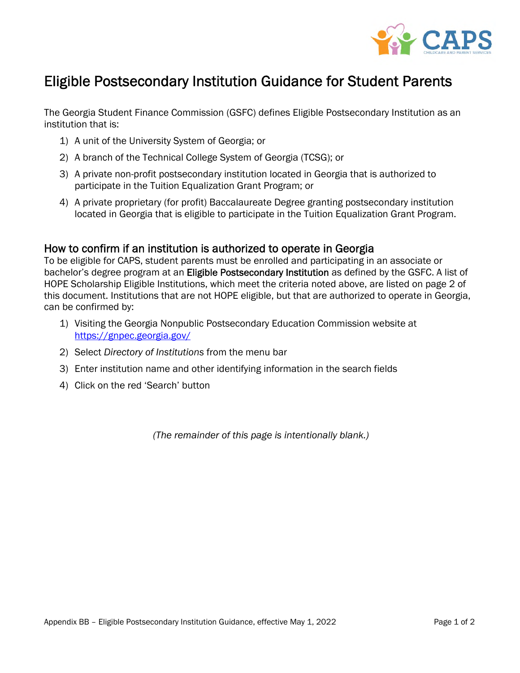

## Eligible Postsecondary Institution Guidance for Student Parents

The Georgia Student Finance Commission (GSFC) defines Eligible Postsecondary Institution as an institution that is:

- 1) A unit of the University System of Georgia; or
- 2) A branch of the Technical College System of Georgia (TCSG); or
- 3) A private non-profit postsecondary institution located in Georgia that is authorized to participate in the Tuition Equalization Grant Program; or
- 4) A private proprietary (for profit) Baccalaureate Degree granting postsecondary institution located in Georgia that is eligible to participate in the Tuition Equalization Grant Program.

## How to confirm if an institution is authorized to operate in Georgia

To be eligible for CAPS, student parents must be enrolled and participating in an associate or bachelor's degree program at an Eligible Postsecondary Institution as defined by the GSFC. A list of HOPE Scholarship Eligible Institutions, which meet the criteria noted above, are listed on page 2 of this document. Institutions that are not HOPE eligible, but that are authorized to operate in Georgia, can be confirmed by:

- 1) Visiting the Georgia Nonpublic Postsecondary Education Commission website at <https://gnpec.georgia.gov/>
- 2) Select *Directory of Institutions* from the menu bar
- 3) Enter institution name and other identifying information in the search fields
- 4) Click on the red 'Search' button

*(The remainder of this page is intentionally blank.)*